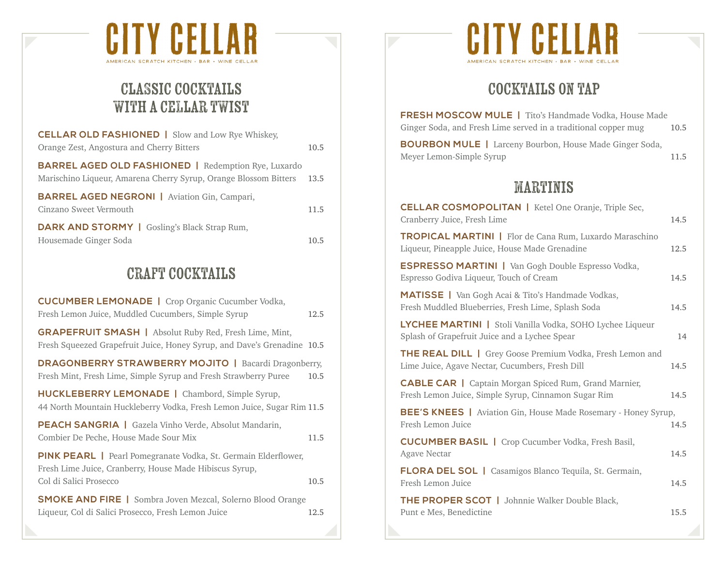

# classic cocktails with a cellar twist

| <b>CELLAR OLD FASHIONED</b>   Slow and Low Rye Whiskey,                                                                             |      |
|-------------------------------------------------------------------------------------------------------------------------------------|------|
| Orange Zest, Angostura and Cherry Bitters                                                                                           | 10.5 |
| <b>BARREL AGED OLD FASHIONED</b>   Redemption Rye, Luxardo<br>Marischino Liqueur, Amarena Cherry Syrup, Orange Blossom Bitters 13.5 |      |
| <b>BARREL AGED NEGRONI   Aviation Gin, Campari,</b><br>Cinzano Sweet Vermouth                                                       | 11.5 |
| <b>DARK AND STORMY</b>   Gosling's Black Strap Rum,<br>Housemade Ginger Soda                                                        | 10.5 |

## craft cocktails

| <b>CUCUMBER LEMONADE</b>   Crop Organic Cucumber Vodka,<br>Fresh Lemon Juice, Muddled Cucumbers, Simple Syrup                                              | 12.5 |
|------------------------------------------------------------------------------------------------------------------------------------------------------------|------|
| <b>GRAPEFRUIT SMASH</b>   Absolut Ruby Red, Fresh Lime, Mint,<br>Fresh Squeezed Grapefruit Juice, Honey Syrup, and Dave's Grenadine 10.5                   |      |
| <b>DRAGONBERRY STRAWBERRY MOJITO   Bacardi Dragonberry,</b><br>Fresh Mint, Fresh Lime, Simple Syrup and Fresh Strawberry Puree                             | 10.5 |
| HUCKLEBERRY LEMONADE   Chambord, Simple Syrup,<br>44 North Mountain Huckleberry Vodka, Fresh Lemon Juice, Sugar Rim 11.5                                   |      |
| <b>PEACH SANGRIA</b>   Gazela Vinho Verde, Absolut Mandarin,<br>Combier De Peche, House Made Sour Mix                                                      | 11.5 |
| <b>PINK PEARL</b>   Pearl Pomegranate Vodka, St. Germain Elderflower,<br>Fresh Lime Juice, Cranberry, House Made Hibiscus Syrup,<br>Col di Salici Prosecco | 10.5 |
| <b>SMOKE AND FIRE</b>   Sombra Joven Mezcal, Solerno Blood Orange<br>Liqueur, Col di Salici Prosecco, Fresh Lemon Juice                                    | 12.5 |



## cocktails on tap

| <b>FRESH MOSCOW MULE</b>   Tito's Handmade Vodka, House Made                               |      |
|--------------------------------------------------------------------------------------------|------|
| Ginger Soda, and Fresh Lime served in a traditional copper mug                             | 10.5 |
| <b>BOURBON MULE</b>   Larceny Bourbon, House Made Ginger Soda,<br>Meyer Lemon-Simple Syrup | 11.5 |
| <b>MARTINIS</b>                                                                            |      |

| <b>CELLAR COSMOPOLITAN</b>   Ketel One Oranje, Triple Sec,<br>Cranberry Juice, Fresh Lime                           | 14.5 |
|---------------------------------------------------------------------------------------------------------------------|------|
| TROPICAL MARTINI   Flor de Cana Rum, Luxardo Maraschino<br>Liqueur, Pineapple Juice, House Made Grenadine           | 12.5 |
| <b>ESPRESSO MARTINI</b>   Van Gogh Double Espresso Vodka,<br>Espresso Godiva Liqueur, Touch of Cream                | 14.5 |
| <b>MATISSE</b>   Van Gogh Acai & Tito's Handmade Vodkas,<br>Fresh Muddled Blueberries, Fresh Lime, Splash Soda      | 14.5 |
| LYCHEE MARTINI   Stoli Vanilla Vodka, SOHO Lychee Liqueur<br>Splash of Grapefruit Juice and a Lychee Spear          | 14   |
| THE REAL DILL   Grey Goose Premium Vodka, Fresh Lemon and<br>Lime Juice, Agave Nectar, Cucumbers, Fresh Dill        | 14.5 |
| <b>CABLE CAR</b>   Captain Morgan Spiced Rum, Grand Marnier,<br>Fresh Lemon Juice, Simple Syrup, Cinnamon Sugar Rim | 14.5 |
| <b>BEE'S KNEES</b>   Aviation Gin, House Made Rosemary - Honey Syrup,<br>Fresh Lemon Juice                          | 14.5 |
| <b>CUCUMBER BASIL</b>   Crop Cucumber Vodka, Fresh Basil,<br>Agave Nectar                                           | 14.5 |
| FLORA DEL SOL   Casamigos Blanco Tequila, St. Germain,<br>Fresh Lemon Juice                                         | 14.5 |
| <b>THE PROPER SCOT</b>   Johnnie Walker Double Black,<br>Punt e Mes, Benedictine                                    | 15.5 |